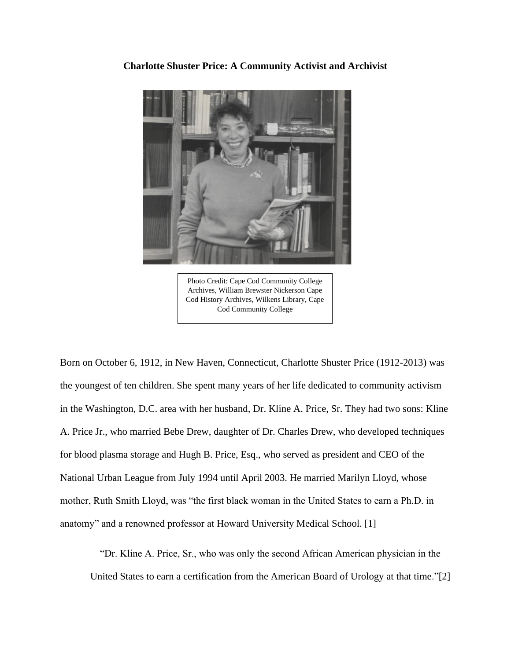

**Charlotte Shuster Price: A Community Activist and Archivist**

Photo Credit: Cape Cod Community College Archives, William Brewster Nickerson Cape Cod History Archives, Wilkens Library, Cape Cod Community College

Born on October 6, 1912, in New Haven, Connecticut, Charlotte Shuster Price (1912-2013) was the youngest of ten children. She spent many years of her life dedicated to community activism in the Washington, D.C. area with her husband, Dr. Kline A. Price, Sr. They had two sons: Kline A. Price Jr., who married Bebe Drew, daughter of Dr. Charles Drew, who developed techniques for blood plasma storage and Hugh B. Price, Esq., who served as president and CEO of the National Urban League from July 1994 until April 2003. He married Marilyn Lloyd, whose mother, Ruth Smith Lloyd, was "the first black woman in the United States to earn a Ph.D. in anatomy" and a renowned professor at Howard University Medical School. [1]

"Dr. Kline A. Price, Sr., who was only the second African American physician in the United States to earn a certification from the American Board of Urology at that time."[2]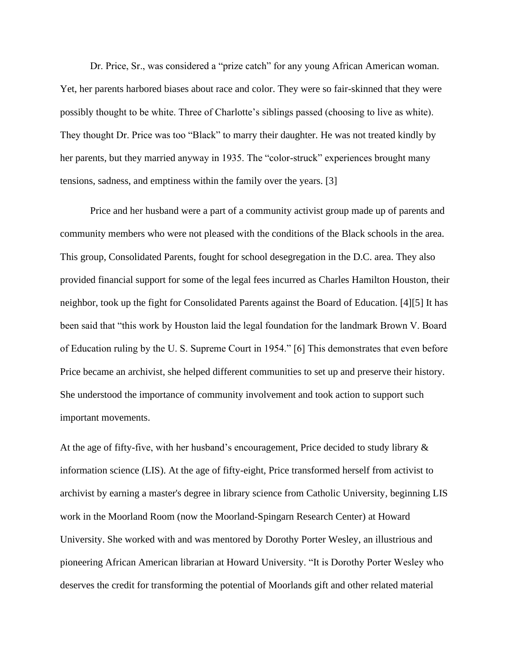Dr. Price, Sr., was considered a "prize catch" for any young African American woman. Yet, her parents harbored biases about race and color. They were so fair-skinned that they were possibly thought to be white. Three of Charlotte's siblings passed (choosing to live as white). They thought Dr. Price was too "Black" to marry their daughter. He was not treated kindly by her parents, but they married anyway in 1935. The "color-struck" experiences brought many tensions, sadness, and emptiness within the family over the years. [3]

Price and her husband were a part of a community activist group made up of parents and community members who were not pleased with the conditions of the Black schools in the area. This group, Consolidated Parents, fought for school desegregation in the D.C. area. They also provided financial support for some of the legal fees incurred as Charles Hamilton Houston, their neighbor, took up the fight for Consolidated Parents against the Board of Education. [4][5] It has been said that "this work by Houston laid the legal foundation for the landmark Brown V. Board of Education ruling by the U. S. Supreme Court in 1954." [6] This demonstrates that even before Price became an archivist, she helped different communities to set up and preserve their history. She understood the importance of community involvement and took action to support such important movements.

At the age of fifty-five, with her husband's encouragement, Price decided to study library & information science (LIS). At the age of fifty-eight, Price transformed herself from activist to archivist by earning a master's degree in library science from Catholic University, beginning LIS work in the Moorland Room (now the Moorland-Spingarn Research Center) at Howard University. She worked with and was mentored by Dorothy Porter Wesley, an illustrious and pioneering African American librarian at Howard University. "It is Dorothy Porter Wesley who deserves the credit for transforming the potential of Moorlands gift and other related material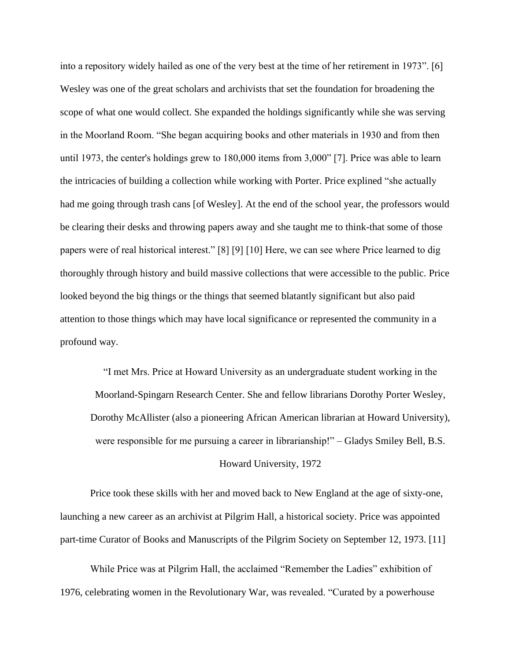into a repository widely hailed as one of the very best at the time of her retirement in 1973". [6] Wesley was one of the great scholars and archivists that set the foundation for broadening the scope of what one would collect. She expanded the holdings significantly while she was serving in the Moorland Room. "She began acquiring books and other materials in 1930 and from then until 1973, the center's holdings grew to 180,000 items from 3,000" [7]. Price was able to learn the intricacies of building a collection while working with Porter. Price explined "she actually had me going through trash cans [of Wesley]. At the end of the school year, the professors would be clearing their desks and throwing papers away and she taught me to think-that some of those papers were of real historical interest." [8] [9] [10] Here, we can see where Price learned to dig thoroughly through history and build massive collections that were accessible to the public. Price looked beyond the big things or the things that seemed blatantly significant but also paid attention to those things which may have local significance or represented the community in a profound way.

"I met Mrs. Price at Howard University as an undergraduate student working in the Moorland-Spingarn Research Center. She and fellow librarians Dorothy Porter Wesley, Dorothy McAllister (also a pioneering African American librarian at Howard University), were responsible for me pursuing a career in librarianship!" – Gladys Smiley Bell, B.S.

## Howard University, 1972

Price took these skills with her and moved back to New England at the age of sixty-one, launching a new career as an archivist at Pilgrim Hall, a historical society. Price was appointed part-time Curator of Books and Manuscripts of the Pilgrim Society on September 12, 1973. [11]

While Price was at Pilgrim Hall, the acclaimed "Remember the Ladies" exhibition of 1976, celebrating women in the Revolutionary War, was revealed. "Curated by a powerhouse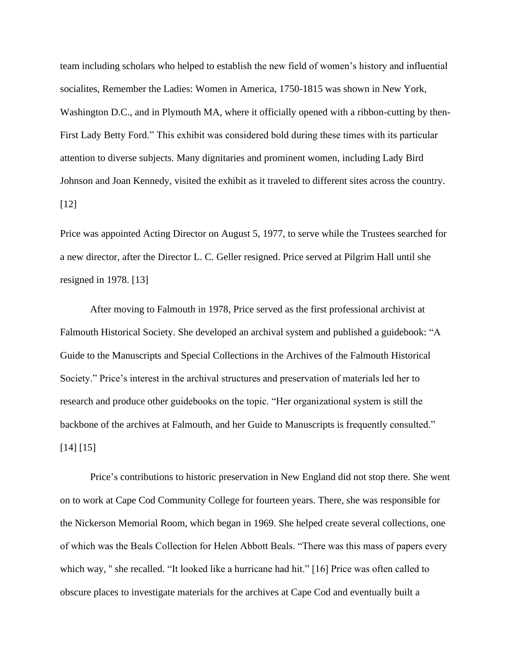team including scholars who helped to establish the new field of women's history and influential socialites, Remember the Ladies: Women in America, 1750-1815 was shown in New York, Washington D.C., and in Plymouth MA, where it officially opened with a ribbon-cutting by then-First Lady Betty Ford." This exhibit was considered bold during these times with its particular attention to diverse subjects. Many dignitaries and prominent women, including Lady Bird Johnson and Joan Kennedy, visited the exhibit as it traveled to different sites across the country. [12]

Price was appointed Acting Director on August 5, 1977, to serve while the Trustees searched for a new director, after the Director L. C. Geller resigned. Price served at Pilgrim Hall until she resigned in 1978. [13]

After moving to Falmouth in 1978, Price served as the first professional archivist at Falmouth Historical Society. She developed an archival system and published a guidebook: "A Guide to the Manuscripts and Special Collections in the Archives of the Falmouth Historical Society." Price's interest in the archival structures and preservation of materials led her to research and produce other guidebooks on the topic. "Her organizational system is still the backbone of the archives at Falmouth, and her Guide to Manuscripts is frequently consulted." [14] [15]

Price's contributions to historic preservation in New England did not stop there. She went on to work at Cape Cod Community College for fourteen years. There, she was responsible for the Nickerson Memorial Room, which began in 1969. She helped create several collections, one of which was the Beals Collection for Helen Abbott Beals. "There was this mass of papers every which way, '' she recalled. "It looked like a hurricane had hit." [16] Price was often called to obscure places to investigate materials for the archives at Cape Cod and eventually built a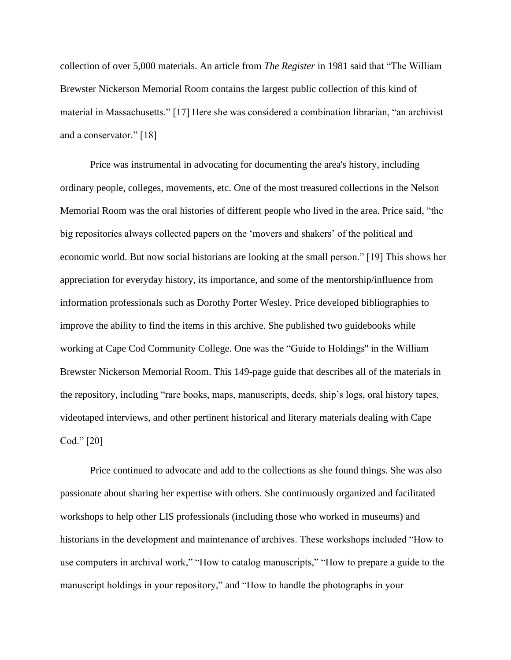collection of over 5,000 materials. An article from *The Register* in 1981 said that "The William Brewster Nickerson Memorial Room contains the largest public collection of this kind of material in Massachusetts." [17] Here she was considered a combination librarian, "an archivist and a conservator." [18]

Price was instrumental in advocating for documenting the area's history, including ordinary people, colleges, movements, etc. One of the most treasured collections in the Nelson Memorial Room was the oral histories of different people who lived in the area. Price said, "the big repositories always collected papers on the 'movers and shakers' of the political and economic world. But now social historians are looking at the small person." [19] This shows her appreciation for everyday history, its importance, and some of the mentorship/influence from information professionals such as Dorothy Porter Wesley. Price developed bibliographies to improve the ability to find the items in this archive. She published two guidebooks while working at Cape Cod Community College. One was the "Guide to Holdings'' in the William Brewster Nickerson Memorial Room. This 149-page guide that describes all of the materials in the repository, including "rare books, maps, manuscripts, deeds, ship's logs, oral history tapes, videotaped interviews, and other pertinent historical and literary materials dealing with Cape Cod." [20]

Price continued to advocate and add to the collections as she found things. She was also passionate about sharing her expertise with others. She continuously organized and facilitated workshops to help other LIS professionals (including those who worked in museums) and historians in the development and maintenance of archives. These workshops included "How to use computers in archival work," "How to catalog manuscripts," "How to prepare a guide to the manuscript holdings in your repository," and "How to handle the photographs in your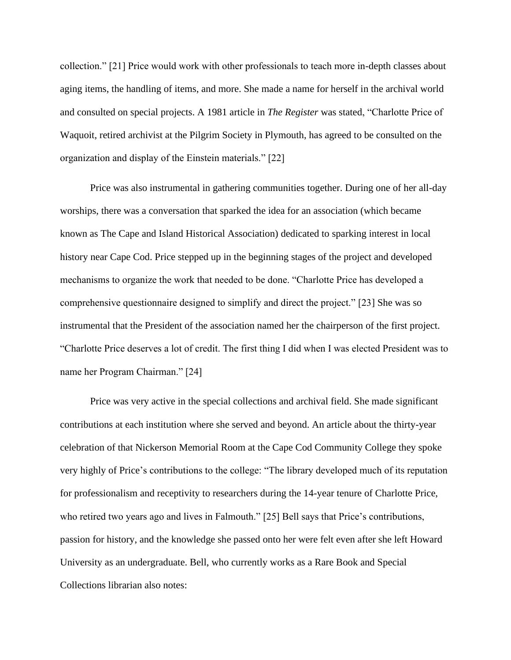collection." [21] Price would work with other professionals to teach more in-depth classes about aging items, the handling of items, and more. She made a name for herself in the archival world and consulted on special projects. A 1981 article in *The Register* was stated, "Charlotte Price of Waquoit, retired archivist at the Pilgrim Society in Plymouth, has agreed to be consulted on the organization and display of the Einstein materials." [22]

Price was also instrumental in gathering communities together. During one of her all-day worships, there was a conversation that sparked the idea for an association (which became known as The Cape and Island Historical Association) dedicated to sparking interest in local history near Cape Cod. Price stepped up in the beginning stages of the project and developed mechanisms to organize the work that needed to be done. "Charlotte Price has developed a comprehensive questionnaire designed to simplify and direct the project." [23] She was so instrumental that the President of the association named her the chairperson of the first project. "Charlotte Price deserves a lot of credit. The first thing I did when I was elected President was to name her Program Chairman." [24]

Price was very active in the special collections and archival field. She made significant contributions at each institution where she served and beyond. An article about the thirty-year celebration of that Nickerson Memorial Room at the Cape Cod Community College they spoke very highly of Price's contributions to the college: "The library developed much of its reputation for professionalism and receptivity to researchers during the 14-year tenure of Charlotte Price, who retired two years ago and lives in Falmouth." [25] Bell says that Price's contributions, passion for history, and the knowledge she passed onto her were felt even after she left Howard University as an undergraduate. Bell, who currently works as a Rare Book and Special Collections librarian also notes: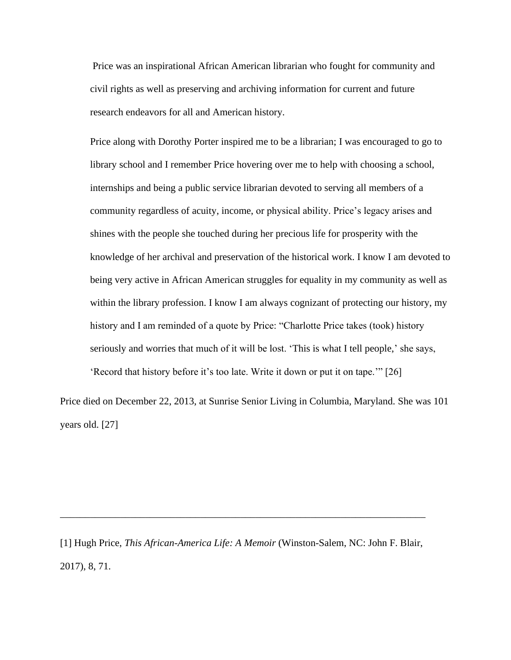Price was an inspirational African American librarian who fought for community and civil rights as well as preserving and archiving information for current and future research endeavors for all and American history.

Price along with Dorothy Porter inspired me to be a librarian; I was encouraged to go to library school and I remember Price hovering over me to help with choosing a school, internships and being a public service librarian devoted to serving all members of a community regardless of acuity, income, or physical ability. Price's legacy arises and shines with the people she touched during her precious life for prosperity with the knowledge of her archival and preservation of the historical work. I know I am devoted to being very active in African American struggles for equality in my community as well as within the library profession. I know I am always cognizant of protecting our history, my history and I am reminded of a quote by Price: "Charlotte Price takes (took) history seriously and worries that much of it will be lost. 'This is what I tell people,' she says, 'Record that history before it's too late. Write it down or put it on tape.'" [26]

Price died on December 22, 2013, at Sunrise Senior Living in Columbia, Maryland. She was 101 years old. [27]

[1] Hugh Price, *This African-America Life: A Memoir* (Winston-Salem, NC: John F. Blair, 2017), 8, 71.

\_\_\_\_\_\_\_\_\_\_\_\_\_\_\_\_\_\_\_\_\_\_\_\_\_\_\_\_\_\_\_\_\_\_\_\_\_\_\_\_\_\_\_\_\_\_\_\_\_\_\_\_\_\_\_\_\_\_\_\_\_\_\_\_\_\_\_\_\_\_\_\_\_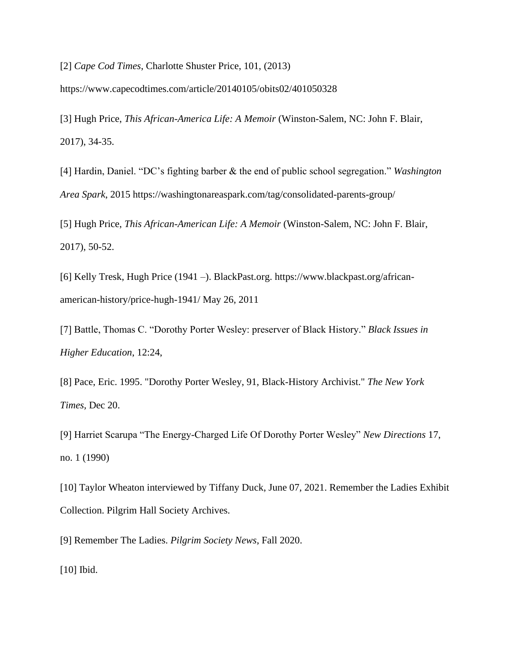[2] *Cape Cod Times*, Charlotte Shuster Price, 101, (2013)

https://www.capecodtimes.com/article/20140105/obits02/401050328

[3] Hugh Price, *This African-America Life: A Memoir* (Winston-Salem, NC: John F. Blair, 2017), 34-35.

[4] Hardin, Daniel. "DC's fighting barber & the end of public school segregation." *Washington Area Spark*, 2015 https://washingtonareaspark.com/tag/consolidated-parents-group/

[5] Hugh Price, *This African-American Life: A Memoir* (Winston-Salem, NC: John F. Blair, 2017), 50-52.

[6] Kelly Tresk, Hugh Price (1941 –). BlackPast.org. https://www.blackpast.org/africanamerican-history/price-hugh-1941/ May 26, 2011

[7] Battle, Thomas C. "Dorothy Porter Wesley: preserver of Black History." *Black Issues in Higher Education*, 12:24,

[8] Pace, Eric. 1995. "Dorothy Porter Wesley, 91, Black-History Archivist." *The New York Times,* Dec 20.

[9] Harriet Scarupa "The Energy-Charged Life Of Dorothy Porter Wesley" *New Directions* 17, no. 1 (1990)

[10] Taylor Wheaton interviewed by Tiffany Duck, June 07, 2021. Remember the Ladies Exhibit Collection. Pilgrim Hall Society Archives.

[9] Remember The Ladies. *Pilgrim Society News*, Fall 2020.

[10] Ibid.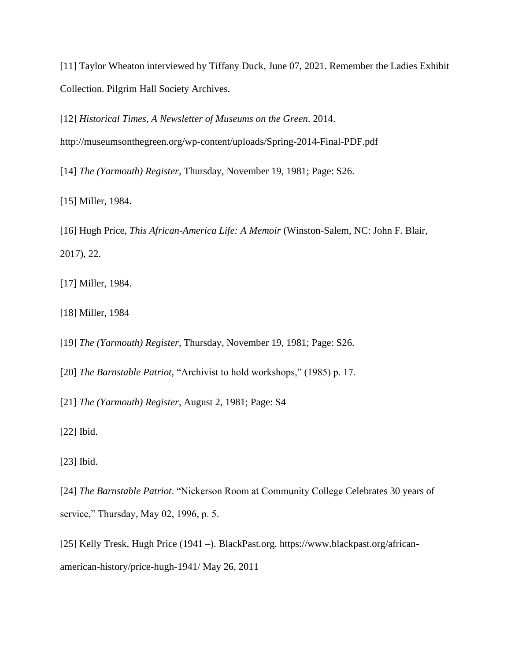[11] Taylor Wheaton interviewed by Tiffany Duck, June 07, 2021. Remember the Ladies Exhibit Collection. Pilgrim Hall Society Archives.

[12] *Historical Times, A Newsletter of Museums on the Green*. 2014. http://museumsonthegreen.org/wp-content/uploads/Spring-2014-Final-PDF.pdf

[14] *The (Yarmouth) Register*, Thursday, November 19, 1981; Page: S26.

[15] Miller, 1984.

[16] Hugh Price, *This African-America Life: A Memoir* (Winston-Salem, NC: John F. Blair, 2017), 22.

[17] Miller, 1984.

[18] Miller, 1984

[19] *The (Yarmouth) Register*, Thursday, November 19, 1981; Page: S26.

[20] *The Barnstable Patriot,* "Archivist to hold workshops," (1985) p. 17.

[21] *The (Yarmouth) Register*, August 2, 1981; Page: S4

[22] Ibid.

[23] Ibid.

[24] *The Barnstable Patriot*. "Nickerson Room at Community College Celebrates 30 years of service," Thursday, May 02, 1996, p. 5.

[25] Kelly Tresk, Hugh Price (1941 –). BlackPast.org. https://www.blackpast.org/africanamerican-history/price-hugh-1941/ May 26, 2011